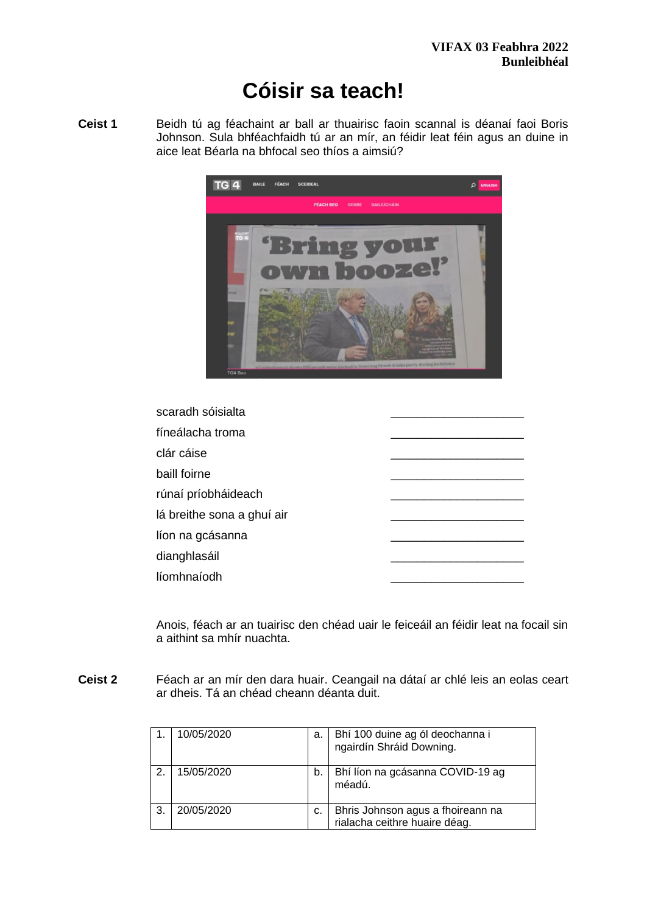# **Cóisir sa teach!**

**Ceist 1** Beidh tú ag féachaint ar ball ar thuairisc faoin scannal is déanaí faoi Boris Johnson. Sula bhféachfaidh tú ar an mír, an féidir leat féin agus an duine in aice leat Béarla na bhfocal seo thíos a aimsiú?



| scaradh sóisialta          |  |
|----------------------------|--|
| fíneálacha troma           |  |
| clár cáise                 |  |
| baill foirne               |  |
| rúnaí príobháideach        |  |
| lá breithe sona a ghuí air |  |
| líon na gcásanna           |  |
| dianghlasáil               |  |
| líomhnaíodh                |  |
|                            |  |

Anois, féach ar an tuairisc den chéad uair le feiceáil an féidir leat na focail sin a aithint sa mhír nuachta.

**Ceist 2** Féach ar an mír den dara huair. Ceangail na dátaí ar chlé leis an eolas ceart ar dheis. Tá an chéad cheann déanta duit.

|    | 10/05/2020 | a. | Bhí 100 duine ag ól deochanna i<br>ngairdín Shráid Downing.        |
|----|------------|----|--------------------------------------------------------------------|
| 2. | 15/05/2020 | b. | Bhí líon na gcásanna COVID-19 ag<br>méadú.                         |
| 3  | 20/05/2020 | c. | Bhris Johnson agus a fhoireann na<br>rialacha ceithre huaire déag. |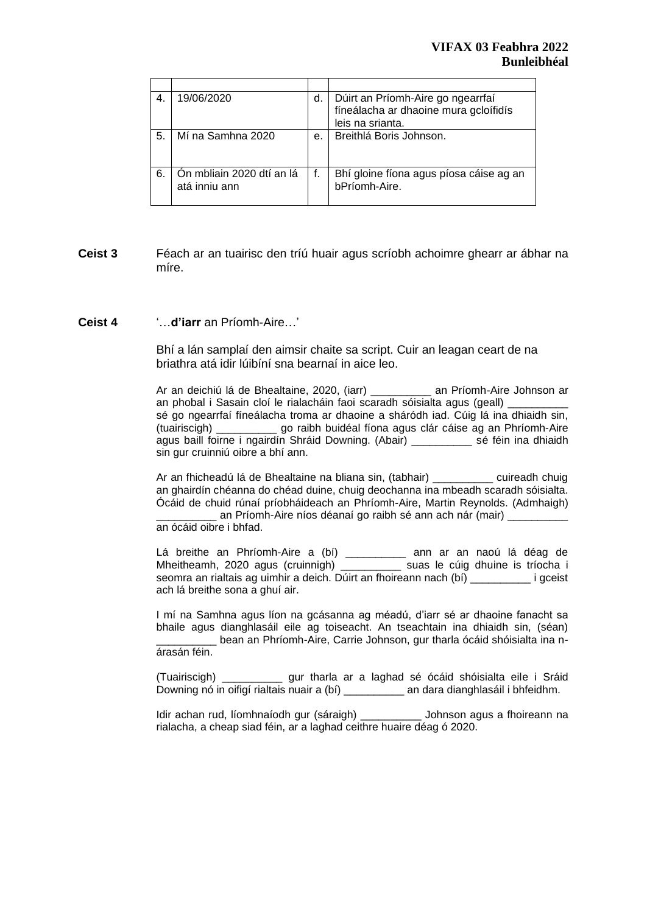| 4. | 19/06/2020                                 | d. | Dúirt an Príomh-Aire go ngearrfaí<br>fíneálacha ar dhaoine mura gcloífidís |
|----|--------------------------------------------|----|----------------------------------------------------------------------------|
|    |                                            |    | leis na srianta.                                                           |
| 5. | Mí na Samhna 2020                          | е. | Breithlá Boris Johnson.                                                    |
| 6. | Ón mbliain 2020 dtí an lá<br>atá inniu ann | f. | Bhí gloine fíona agus píosa cáise ag an<br>bPríomh-Aire.                   |

## **Ceist 3** Féach ar an tuairisc den tríú huair agus scríobh achoimre ghearr ar ábhar na míre.

#### **Ceist 4** '…**d'iarr** an Príomh-Aire…'

Bhí a lán samplaí den aimsir chaite sa script. Cuir an leagan ceart de na briathra atá idir lúibíní sna bearnaí in aice leo.

Ar an deichiú lá de Bhealtaine, 2020, (iarr) \_\_\_\_\_\_\_\_\_\_ an Príomh-Aire Johnson ar an phobal i Sasain cloí le rialacháin faoi scaradh sóisialta agus (geall) \_\_\_\_\_\_\_\_\_\_ sé go ngearrfaí fíneálacha troma ar dhaoine a sháródh iad. Cúig lá ina dhiaidh sin, (tuairiscigh) \_\_\_\_\_\_\_\_\_\_ go raibh buidéal fíona agus clár cáise ag an Phríomh-Aire agus baill foirne i ngairdín Shráid Downing. (Abair) \_\_\_\_\_\_\_\_\_\_ sé féin ina dhiaidh sin gur cruinniú oibre a bhí ann.

Ar an fhicheadú lá de Bhealtaine na bliana sin, (tabhair) \_\_\_\_\_\_\_\_\_\_ cuireadh chuig an ghairdín chéanna do chéad duine, chuig deochanna ina mbeadh scaradh sóisialta. Ócáid de chuid rúnaí príobháideach an Phríomh-Aire, Martin Reynolds. (Admhaigh) an Príomh-Aire níos déanaí go raibh sé ann ach nár (mair) \_ an ócáid oibre i bhfad.

Lá breithe an Phríomh-Aire a (bí) \_\_\_\_\_\_\_\_\_\_ ann ar an naoú lá déag de Mheitheamh, 2020 agus (cruinnigh) \_\_\_\_\_\_\_\_\_\_ suas le cúig dhuine is tríocha i seomra an rialtais ag uimhir a deich. Dúirt an fhoireann nach (bí) \_\_\_\_\_\_\_\_\_\_ i gceist ach lá breithe sona a ghuí air.

I mí na Samhna agus líon na gcásanna ag méadú, d'iarr sé ar dhaoine fanacht sa bhaile agus dianghlasáil eile ag toiseacht. An tseachtain ina dhiaidh sin, (séan) \_\_\_\_\_\_\_\_\_\_ bean an Phríomh-Aire, Carrie Johnson, gur tharla ócáid shóisialta ina nárasán féin.

(Tuairiscigh) \_\_\_\_\_\_\_\_\_\_ gur tharla ar a laghad sé ócáid shóisialta eile i Sráid Downing nó in oifigí rialtais nuair a (bí) \_\_\_\_\_\_\_\_\_\_ an dara dianghlasáil i bhfeidhm.

Idir achan rud, líomhnaíodh gur (sáraigh) \_\_\_\_\_\_\_\_\_\_ Johnson agus a fhoireann na rialacha, a cheap siad féin, ar a laghad ceithre huaire déag ó 2020.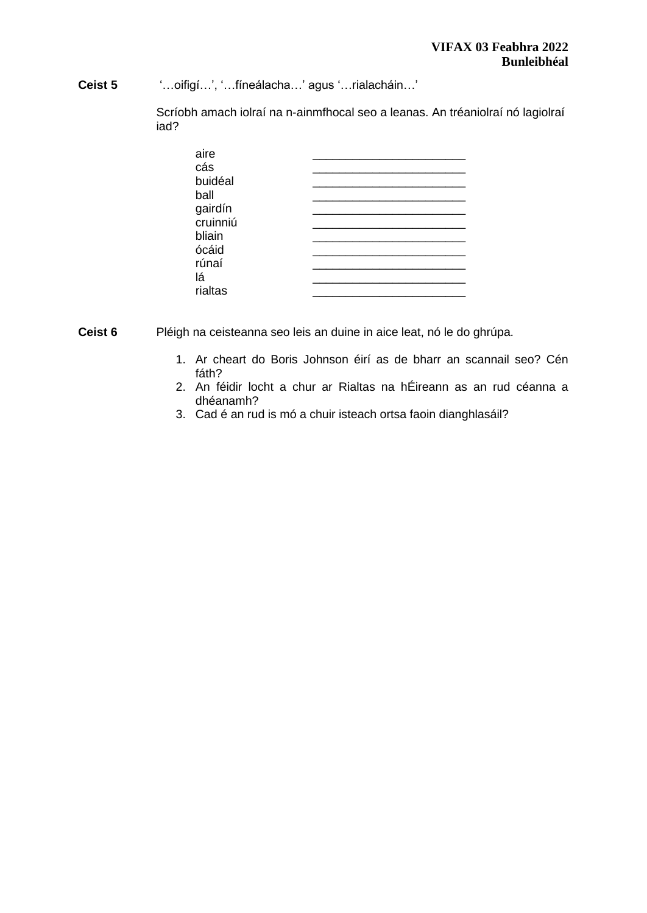**Ceist 5** '…oifigí…', '…fíneálacha…' agus '…rialacháin…'

Scríobh amach iolraí na n-ainmfhocal seo a leanas. An tréaniolraí nó lagiolraí iad?

| aire     |  |
|----------|--|
| cás      |  |
| buidéal  |  |
| ball     |  |
| gairdín  |  |
| cruinniú |  |
| bliain   |  |
| ócáid    |  |
| rúnaí    |  |
| lá       |  |
| rialtas  |  |
|          |  |

**Ceist 6** Pléigh na ceisteanna seo leis an duine in aice leat, nó le do ghrúpa.

- 1. Ar cheart do Boris Johnson éirí as de bharr an scannail seo? Cén fáth?
- 2. An féidir locht a chur ar Rialtas na hÉireann as an rud céanna a dhéanamh?
- 3. Cad é an rud is mó a chuir isteach ortsa faoin dianghlasáil?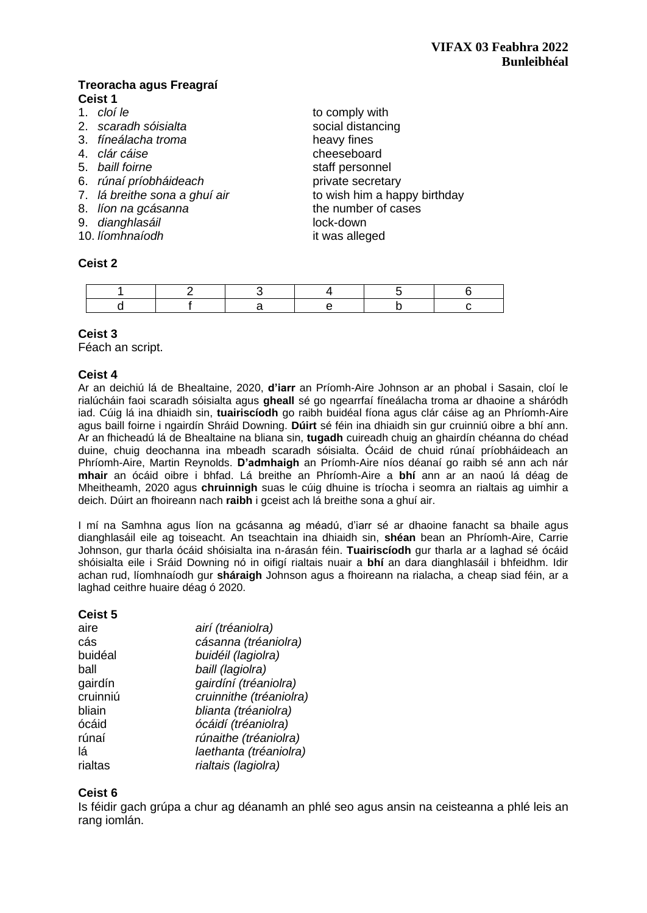# **Treoracha agus Freagraí Ceist 1**

- 1. *cloí le* to comply with
- 2. *scaradh sóisialta* social distancing
- 3. *fíneálacha troma* heavy fines
- 
- 
- 6. *rúnaí príobháideach* private secretary
- 
- 
- 9. *dianghlasáil* lock-down
- 10. *líomhnaíodh* it was alleged

#### **Ceist 2**

4. *clár cáise* cheeseboard 5. *baill foirne* staff personnel 7. *lá breithe sona a ghuí air* to wish him a happy birthday 8. *líon na gcásanna* the number of cases

# **Ceist 3**

Féach an script.

## **Ceist 4**

Ar an deichiú lá de Bhealtaine, 2020, **d'iarr** an Príomh-Aire Johnson ar an phobal i Sasain, cloí le rialúcháin faoi scaradh sóisialta agus **gheall** sé go ngearrfaí fíneálacha troma ar dhaoine a sháródh iad. Cúig lá ina dhiaidh sin, **tuairiscíodh** go raibh buidéal fíona agus clár cáise ag an Phríomh-Aire agus baill foirne i ngairdín Shráid Downing. **Dúirt** sé féin ina dhiaidh sin gur cruinniú oibre a bhí ann. Ar an fhicheadú lá de Bhealtaine na bliana sin, **tugadh** cuireadh chuig an ghairdín chéanna do chéad duine, chuig deochanna ina mbeadh scaradh sóisialta. Ócáid de chuid rúnaí príobháideach an Phríomh-Aire, Martin Reynolds. **D'admhaigh** an Príomh-Aire níos déanaí go raibh sé ann ach nár **mhair** an ócáid oibre i bhfad. Lá breithe an Phríomh-Aire a **bhí** ann ar an naoú lá déag de Mheitheamh, 2020 agus **chruinnigh** suas le cúig dhuine is tríocha i seomra an rialtais ag uimhir a deich. Dúirt an fhoireann nach **raibh** i gceist ach lá breithe sona a ghuí air.

I mí na Samhna agus líon na gcásanna ag méadú, d'iarr sé ar dhaoine fanacht sa bhaile agus dianghlasáil eile ag toiseacht. An tseachtain ina dhiaidh sin, **shéan** bean an Phríomh-Aire, Carrie Johnson, gur tharla ócáid shóisialta ina n-árasán féin. **Tuairiscíodh** gur tharla ar a laghad sé ócáid shóisialta eile i Sráid Downing nó in oifigí rialtais nuair a **bhí** an dara dianghlasáil i bhfeidhm. Idir achan rud, líomhnaíodh gur **sháraigh** Johnson agus a fhoireann na rialacha, a cheap siad féin, ar a laghad ceithre huaire déag ó 2020.

#### **Ceist 5**

| airí (tréaniolra)       |
|-------------------------|
| cásanna (tréaniolra)    |
| buidéil (lagiolra)      |
| baill (lagiolra)        |
| gairdíní (tréaniolra)   |
| cruinnithe (tréaniolra) |
| blianta (tréaniolra)    |
| ócáidí (tréaniolra)     |
| rúnaithe (tréaniolra)   |
| laethanta (tréaniolra)  |
| rialtais (lagiolra)     |
|                         |

# **Ceist 6**

Is féidir gach grúpa a chur ag déanamh an phlé seo agus ansin na ceisteanna a phlé leis an rang iomlán.